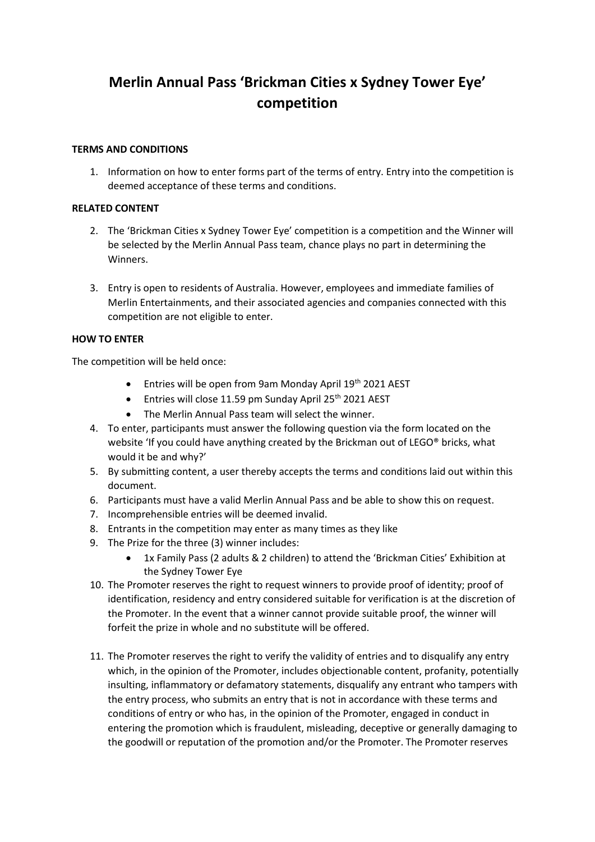# **Merlin Annual Pass 'Brickman Cities x Sydney Tower Eye' competition**

## **TERMS AND CONDITIONS**

1. Information on how to enter forms part of the terms of entry. Entry into the competition is deemed acceptance of these terms and conditions.

## **RELATED CONTENT**

- 2. The 'Brickman Cities x Sydney Tower Eye' competition is a competition and the Winner will be selected by the Merlin Annual Pass team, chance plays no part in determining the Winners.
- 3. Entry is open to residents of Australia. However, employees and immediate families of Merlin Entertainments, and their associated agencies and companies connected with this competition are not eligible to enter.

## **HOW TO ENTER**

The competition will be held once:

- Entries will be open from 9am Monday April 19<sup>th</sup> 2021 AEST
- Entries will close 11.59 pm Sunday April  $25<sup>th</sup>$  2021 AEST
- The Merlin Annual Pass team will select the winner.
- 4. To enter, participants must answer the following question via the form located on the website 'If you could have anything created by the Brickman out of LEGO® bricks, what would it be and why?'
- 5. By submitting content, a user thereby accepts the terms and conditions laid out within this document.
- 6. Participants must have a valid Merlin Annual Pass and be able to show this on request.
- 7. Incomprehensible entries will be deemed invalid.
- 8. Entrants in the competition may enter as many times as they like
- 9. The Prize for the three (3) winner includes:
	- 1x Family Pass (2 adults & 2 children) to attend the 'Brickman Cities' Exhibition at the Sydney Tower Eye
- 10. The Promoter reserves the right to request winners to provide proof of identity; proof of identification, residency and entry considered suitable for verification is at the discretion of the Promoter. In the event that a winner cannot provide suitable proof, the winner will forfeit the prize in whole and no substitute will be offered.
- 11. The Promoter reserves the right to verify the validity of entries and to disqualify any entry which, in the opinion of the Promoter, includes objectionable content, profanity, potentially insulting, inflammatory or defamatory statements, disqualify any entrant who tampers with the entry process, who submits an entry that is not in accordance with these terms and conditions of entry or who has, in the opinion of the Promoter, engaged in conduct in entering the promotion which is fraudulent, misleading, deceptive or generally damaging to the goodwill or reputation of the promotion and/or the Promoter. The Promoter reserves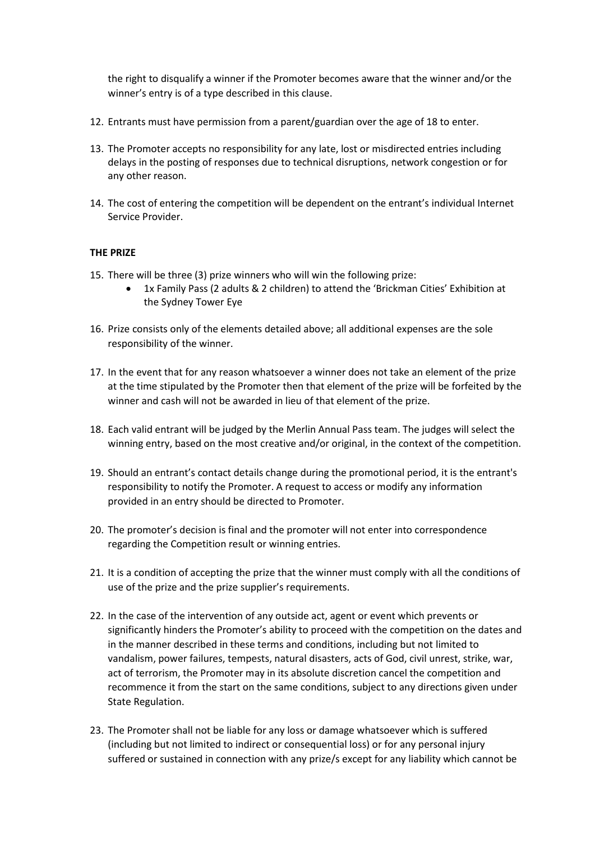the right to disqualify a winner if the Promoter becomes aware that the winner and/or the winner's entry is of a type described in this clause.

- 12. Entrants must have permission from a parent/guardian over the age of 18 to enter.
- 13. The Promoter accepts no responsibility for any late, lost or misdirected entries including delays in the posting of responses due to technical disruptions, network congestion or for any other reason.
- 14. The cost of entering the competition will be dependent on the entrant's individual Internet Service Provider.

## **THE PRIZE**

- 15. There will be three (3) prize winners who will win the following prize:
	- 1x Family Pass (2 adults & 2 children) to attend the 'Brickman Cities' Exhibition at the Sydney Tower Eye
- 16. Prize consists only of the elements detailed above; all additional expenses are the sole responsibility of the winner.
- 17. In the event that for any reason whatsoever a winner does not take an element of the prize at the time stipulated by the Promoter then that element of the prize will be forfeited by the winner and cash will not be awarded in lieu of that element of the prize.
- 18. Each valid entrant will be judged by the Merlin Annual Pass team. The judges will select the winning entry, based on the most creative and/or original, in the context of the competition.
- 19. Should an entrant's contact details change during the promotional period, it is the entrant's responsibility to notify the Promoter. A request to access or modify any information provided in an entry should be directed to Promoter.
- 20. The promoter's decision is final and the promoter will not enter into correspondence regarding the Competition result or winning entries.
- 21. It is a condition of accepting the prize that the winner must comply with all the conditions of use of the prize and the prize supplier's requirements.
- 22. In the case of the intervention of any outside act, agent or event which prevents or significantly hinders the Promoter's ability to proceed with the competition on the dates and in the manner described in these terms and conditions, including but not limited to vandalism, power failures, tempests, natural disasters, acts of God, civil unrest, strike, war, act of terrorism, the Promoter may in its absolute discretion cancel the competition and recommence it from the start on the same conditions, subject to any directions given under State Regulation.
- 23. The Promoter shall not be liable for any loss or damage whatsoever which is suffered (including but not limited to indirect or consequential loss) or for any personal injury suffered or sustained in connection with any prize/s except for any liability which cannot be